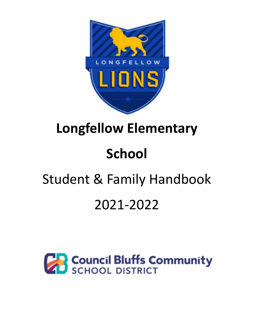

# **Longfellow Elementary**

# **School**

# Student & Family Handbook

# 2021-2022

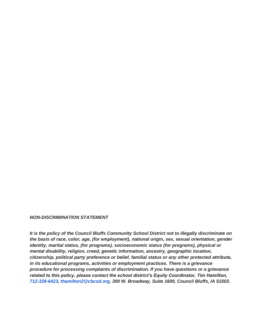#### *NON-DISCRIMINATION STATEMENT*

*It is the policy of the Council Bluffs Community School District not to illegally discriminate on the basis of race, color, age, (for employment), national origin, sex, sexual orientation, gender identity, marital status, (for programs), socioeconomic status (for programs), physical or mental disability, religion, creed, genetic information, ancestry, geographic location, citizenship, political party preference or belief, familial status or any other protected attribute, in its educational programs, activities or employment practices. There is a grievance procedure for processing complaints of discrimination. If you have questions or a grievance related to this policy, please contact the school district's Equity Coordinator, Tim Hamilton, 712-328-6423, thamilton2@cbcsd.org, 300 W. Broadway, Suite 1600, Council Bluffs, IA 51503.*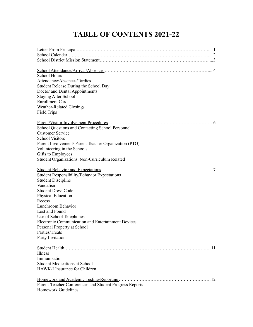# **TABLE OF CONTENTS 2021-22**

| <b>School Hours</b><br>Attendance/Absences/Tardies<br>Student Release During the School Day<br>Doctor and Dental Appointments<br><b>Staying After School</b><br><b>Enrollment Card</b><br>Weather-Related Closings<br><b>Field Trips</b>                                                                                                                |
|---------------------------------------------------------------------------------------------------------------------------------------------------------------------------------------------------------------------------------------------------------------------------------------------------------------------------------------------------------|
| School Questions and Contacting School Personnel<br><b>Customer Service</b><br><b>School Visitors</b>                                                                                                                                                                                                                                                   |
| Parent Involvement/ Parent Teacher Organization (PTO)<br>Volunteering in the Schools                                                                                                                                                                                                                                                                    |
| Gifts to Employees<br>Student Organizations, Non-Curriculum Related                                                                                                                                                                                                                                                                                     |
| $\overline{7}$<br><b>Student Responsibility/Behavior Expectations</b><br><b>Student Discipline</b><br>Vandalism<br><b>Student Dress Code</b><br>Physical Education<br>Recess<br>Lunchroom Behavior<br>Lost and Found<br>Use of School Telephones<br>Electronic Communication and Entertainment Devices<br>Personal Property at School<br>Parties/Treats |
| Party Invitations<br>. 11                                                                                                                                                                                                                                                                                                                               |
| Illness                                                                                                                                                                                                                                                                                                                                                 |
| Immunization                                                                                                                                                                                                                                                                                                                                            |
| <b>Student Medications at School</b><br>HAWK-I Insurance for Children                                                                                                                                                                                                                                                                                   |
| Homework and Academic Testing/Reporting.<br>.12<br>Parent-Teacher Conferences and Student Progress Reports<br><b>Homework Guidelines</b>                                                                                                                                                                                                                |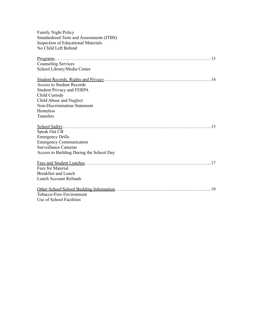| Family Night Policy                              |
|--------------------------------------------------|
| <b>Standardized Tests and Assessments (ITBS)</b> |
| <b>Inspection of Educational Materials</b>       |
| No Child Left Behind                             |
|                                                  |
| <b>Counseling Services</b>                       |
| School Library/Media Center                      |
|                                                  |
| <b>Access to Student Records</b>                 |
| <b>Student Privacy and FERPA</b>                 |
| Child Custody                                    |
| Child Abuse and Neglect                          |
| <b>Non-Discrimination Statement</b>              |
| Homeless                                         |
| Transfers                                        |
|                                                  |
| Speak Out CB                                     |
| <b>Emergency Drills</b>                          |
| <b>Emergency Communication</b>                   |
| <b>Surveillance Cameras</b>                      |
| Access to Building During the School Day         |
|                                                  |
| <b>Fees for Material</b>                         |
| <b>Breakfast and Lunch</b>                       |
| <b>Lunch Account Refunds</b>                     |
|                                                  |
| Tobacco-Free Environment                         |
| Use of School Facilities                         |
|                                                  |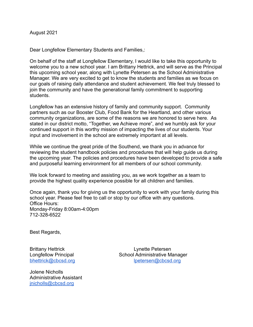August 2021

Dear Longfellow Elementary Students and Families,:

On behalf of the staff at Longfellow Elementary, I would like to take this opportunity to welcome you to a new school year. I am Brittany Hettrick, and will serve as the Principal this upcoming school year, along with Lynette Petersen as the School Administrative Manager. We are very excited to get to know the students and families as we focus on our goals of raising daily attendance and student achievement. We feel truly blessed to join the community and have the generational family commitment to supporting students.

Longfellow has an extensive history of family and community support. Community partners such as our Booster Club, Food Bank for the Heartland, and other various community organizations, are some of the reasons we are honored to serve here. As stated in our district motto, "Together, we Achieve more", and we humbly ask for your continued support in this worthy mission of impacting the lives of our students. Your input and involvement in the school are extremely important at all levels.

While we continue the great pride of the Southend, we thank you in advance for reviewing the student handbook policies and procedures that will help guide us during the upcoming year. The policies and procedures have been developed to provide a safe and purposeful learning environment for all members of our school community.

We look forward to meeting and assisting you, as we work together as a team to provide the highest quality experience possible for all children and families.

Once again, thank you for giving us the opportunity to work with your family during this school year. Please feel free to call or stop by our office with any questions. Office Hours: Monday-Friday 8:00am-4:00pm 712-328-6522

Best Regards,

Jolene Nicholls Administrative Assistant [jnicholls@cbcsd.org](mailto:jhansen@cbcsd.org)

Brittany Hettrick Lynette Petersen Longfellow Principal School Administrative Manager [bhettrick@cbcsd.org](mailto:bhettrick@cbcsd.org) [lpetersen@cbcsd.org](mailto:lpetersen@cbcsd.org)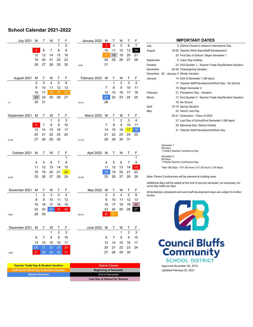# **School Calendar 2021-2022**

| <b>July 2021</b> | M               | т              | W  | Τ            | F              | January 2022  | м              | Т            | W              | Τ       | F      | <b>IMPORTANT DATES</b>                                                           |
|------------------|-----------------|----------------|----|--------------|----------------|---------------|----------------|--------------|----------------|---------|--------|----------------------------------------------------------------------------------|
|                  |                 |                |    | 1            | $\overline{2}$ |               | 3              | 4            | 5              | 6       | 7      | July<br>5 District Closed to observe Indendence Day                              |
|                  | 5               | 6              | 7  | 8            | 9              |               | 10             | 11           | 12             | 13      | 14     | August<br>18-20 Teacher Work Days/Staff Development                              |
|                  | 12              | 13             | 14 | 15           | 16             |               | 17             | 18           | 19             | 20      | 21     | 23 First Day of School / Begin Semester 1                                        |
|                  | 19              | 20             | 21 | 22           | 23             |               | 24             | 25           | 26             | 27      | 28     | September<br>6 Labor Day Holiday                                                 |
|                  | 26              | 27             | 28 | 29           | 30             | 19/99         | 31             |              |                |         |        | October<br>22 End Quarter 1 - Teacher Trade Day/Student Vacation                 |
|                  |                 |                |    |              |                |               |                |              |                |         |        | November<br>24-26 Thanksgiving Vacation                                          |
|                  |                 |                |    |              |                |               |                |              |                |         |        | December 20 - January 3 Winter Vacation                                          |
| August 2021      | M               | Τ              | W  |              | F              | February 2022 | м              | Т            | vv             |         | F      | 14 End of Semester 1 (89 days)<br>January                                        |
|                  | $\overline{2}$  | 3              | 4  | 5            | 6              |               |                | 1            | $\overline{2}$ | 3       | 4      | 17 Teacher Staff Development/Work Day - No School                                |
|                  | 9               | 10             | 11 | 12           | 13             |               | 7              | 8            | 9              | 10      | 11     | 18 Begin Semester 2                                                              |
|                  | 16              | 17             | 18 | 19           | 20             |               | 14             | 15           | 16             | 17      | 18     | February<br>21 Presidents' Day - Vacation                                        |
|                  | 23              | 24             | 25 | 26           | 27             |               | 21             | 22           | 23             | 24      | 25     | March<br>17 End Quarter 3 - Teacher Trade Day/Student Vacation                   |
| 7/7              | 30              | 31             |    |              |                | 19/118        | 28             |              |                |         |        | 18 No School                                                                     |
|                  |                 |                |    |              |                |               |                |              |                |         |        | 15-18 Spring Vacation<br>April                                                   |
|                  |                 |                |    |              |                |               |                |              |                |         |        | May<br>20 Senior Last Day                                                        |
| September 2021   | м               | т              | W  | J.           | F              | March 2022    | м              | Т            | w              | Τ       | F      | 20-21 Graduation - Class of 2022                                                 |
|                  |                 |                | 1  | 2            | 3              |               |                | 1            | $\overline{2}$ | 3       | 4      | 27 Last Day of School/End Semester 2 (89 days)                                   |
|                  | $6\phantom{1}6$ | 7              | 8  | 9            | 10             |               | 7              | 8            | 9              | 10      | 11     | 30 Memorial Day- District Closed                                                 |
|                  | 13              | 14             | 15 | 16           | 17             |               | 14             | 15           | 16             | 17      | 18     | 31 Teacher Staff Development/Work Day                                            |
|                  | 20              | 21             | 22 | 23           | 24             |               | 21             | 22           | 23             | 24      | 25     |                                                                                  |
| 21/28            | 27              | 28             | 29 | 30           |                | 21/139        | 28             | 29           | 30             | 31      |        |                                                                                  |
|                  |                 |                |    |              |                |               |                |              |                |         |        | Semester 1                                                                       |
|                  |                 |                |    |              |                |               |                |              |                |         |        | 89 Days<br>1 Parent-Teacher Conference Day                                       |
| October 2021     | M               | т              | W  | т            | F              | April 2022    | M              | т            | W              | Т       | F      | Semester 2                                                                       |
|                  |                 |                |    |              | 1              |               |                |              |                |         | 1      | 89 Days                                                                          |
|                  | 4               | 5              | 6  | 7            | 8              |               | 4              | 5            | 6              | 7       | 8      | 1 Parent-Teacher Conference Day                                                  |
|                  | 11              | 12             | 13 | 14           | 15             |               | 11             | 12           | 13             | 14      | 15     | Total 180 Days 1101.50 hours (+21.50 hours; 3.35 days)                           |
|                  | 18              | 19             | 20 | 21           | 22             |               | 18             | 19           | 20             | 21      | 22     |                                                                                  |
| 20/48            | 25              | 26             | 27 | 28           | 29             | 19/158        | 25             | 26           | 27             | 28      | 29     | Note: Parent Conferences will be planned at building level.                      |
|                  |                 |                |    |              |                |               |                |              |                |         |        | Additional days will be added at the end of second semester, as necessary, for   |
|                  |                 |                |    |              |                |               |                |              |                |         |        | snow day make-up days.                                                           |
| November 2021    | M               | Τ              | w  | $\mathbf{I}$ | F              | May 2022      | M              | $\mathbf{I}$ | w              | Τ       | F      | All tentatively scheduled work and staff development days are subject to further |
|                  | 1               | $\overline{2}$ | 3  | 4            | 5              |               | $\overline{2}$ | 3            | 4              | 5       | 6      | review.                                                                          |
|                  | 8               | 9              | 10 | 11           | 12             |               | 9              | 10           | 11             | 12      | 13     |                                                                                  |
|                  | 15              | 16             | 17 | 18           | 19             |               | 16             | 17           | 18             | 19      | 20     |                                                                                  |
|                  | 22              | 23             | 24 | 25           | 26             |               | 23             | 24           | 25             | 26      | 27     |                                                                                  |
| 19/67            | 29              | 30             |    |              |                | 20/178        | 30             | 31           |                |         |        |                                                                                  |
|                  |                 |                |    |              |                |               |                |              |                |         |        |                                                                                  |
| December 2021    | M               | Τ              | w  |              |                | June 2022 M   |                | Τ            | w              |         |        |                                                                                  |
|                  |                 |                |    | Ι.<br>2      | F<br>3         |               |                |              |                | Ι.<br>2 | F<br>3 |                                                                                  |
|                  |                 |                |    |              |                |               |                |              |                |         |        |                                                                                  |
|                  | 6               | 7              | 8  | 9            | 10             |               | 6              | 7            | 8              | 9       | 10     |                                                                                  |
|                  | 13              | 14             | 15 | 16           | 17             |               | 13             | 14           | 15             | 16      | 17     | <b>Council Bluffs</b>                                                            |
|                  | 20              | 21             | 22 | 23           | 24             |               | 20             | 21           | 22             | 23      | 24     |                                                                                  |
| 13/80            | 27              | 28             |    | 29 30        | 31             |               | 27             | 28           | 29             | 30      |        | Community                                                                        |
|                  |                 |                |    |              |                |               |                |              |                |         |        | <b>SCHOOL DISTRICT</b>                                                           |
|                  |                 |                |    |              |                |               |                |              |                |         |        |                                                                                  |

| <b>Teacher Trade Day &amp; Student Vacation</b>     | <b>District Closed</b>                |
|-----------------------------------------------------|---------------------------------------|
| <b>Staff Devel./Work Day &amp; Student Vacation</b> | <b>Beginning of Semester</b>          |
| <b>School Vacation</b>                              | End of Semester                       |
|                                                     | <b>Last Day of School for Seniors</b> |

| IMPORTANT DATES |                       |                                                       |  |  |  |  |
|-----------------|-----------------------|-------------------------------------------------------|--|--|--|--|
| July            |                       | 5 District Closed to observe Indendence Day           |  |  |  |  |
| August          |                       | 18-20 Teacher Work Days/Staff Development             |  |  |  |  |
|                 |                       | 23 First Day of School / Begin Semester 1             |  |  |  |  |
| September       |                       | 6 Labor Day Holiday                                   |  |  |  |  |
| October         |                       | 22 End Quarter 1 - Teacher Trade Day/Student Vacation |  |  |  |  |
| November        |                       | 24-26 Thanksgiving Vacation                           |  |  |  |  |
|                 |                       | December 20 - January 3 Winter Vacation               |  |  |  |  |
| January         |                       | 14 End of Semester 1 (89 days)                        |  |  |  |  |
|                 |                       | 17 Teacher Staff Development/Work Day - No School     |  |  |  |  |
|                 |                       | 18 Begin Semester 2                                   |  |  |  |  |
| February        |                       | 21 Presidents' Day - Vacation                         |  |  |  |  |
| March           |                       | 17 End Quarter 3 - Teacher Trade Day/Student Vacation |  |  |  |  |
|                 |                       | 18 No School                                          |  |  |  |  |
| April           |                       | 15-18 Spring Vacation                                 |  |  |  |  |
| May             |                       | 20 Senior Last Day                                    |  |  |  |  |
|                 |                       | 20-21 Graduation - Class of 2022                      |  |  |  |  |
|                 |                       | 27 Last Day of School/End Semester 2 (89 days)        |  |  |  |  |
|                 |                       | 30 Memorial Day- District Closed                      |  |  |  |  |
|                 |                       | 31 Teacher Staff Development/Work Day                 |  |  |  |  |
|                 |                       |                                                       |  |  |  |  |
|                 |                       |                                                       |  |  |  |  |
|                 | Semester 1<br>89 Days | 1 Parent-Teacher Conference Day                       |  |  |  |  |



**Teacher Trade Day & Student Vacation District Closed** Approved November 26, 2019 Updated February 23, 2021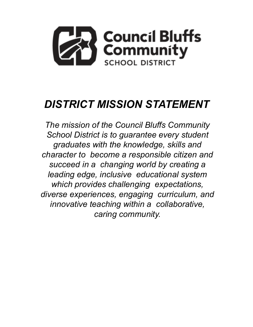

# *DISTRICT MISSION STATEMENT*

*The mission of the Council Bluffs Community School District is to guarantee every student graduates with the knowledge, skills and character to become a responsible citizen and succeed in a changing world by creating a leading edge, inclusive educational system which provides challenging expectations, diverse experiences, engaging curriculum, and innovative teaching within a collaborative, caring community.*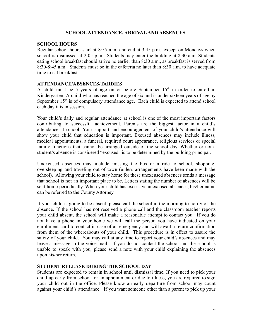### **SCHOOLATTENDANCE, ARRIVALAND ABSENCES**

#### **SCHOOL HOURS**

Regular school hours start at 8:55 a.m. and end at 3:45 p.m., except on Mondays when school is dismissed at 2:05 p.m. Students may enter the building at 8:30 a.m. Students eating school breakfast should arrive no earlier than 8:30 a.m., as breakfast is served from 8:30-8:45 a.m. Students must be in the cafeteria no later than 8:30 a.m. to have adequate time to eat breakfast.

# **ATTENDANCE/ABSENCES/TARDIES**

A child must be 5 years of age on or before September  $15<sup>th</sup>$  in order to enroll in Kindergarten. A child who has reached the age of six and is under sixteen years of age by September  $15<sup>th</sup>$  is of compulsory attendance age. Each child is expected to attend school each day it is in session.

Your child's daily and regular attendance at school is one of the most important factors contributing to successful achievement. Parents are the biggest factor in a child's attendance at school. Your support and encouragement of your child's attendance will show your child that education is important. Excused absences may include illness, medical appointments, a funeral, required court appearance, religious services or special family functions that cannot be arranged outside of the school day. Whether or not a student's absence is considered "excused" is to be determined by the building principal.

Unexcused absences may include missing the bus or a ride to school, shopping, oversleeping and traveling out of town (unless arrangements have been made with the school). Allowing your child to stay home for these unexcused absences sends a message that school is not an important place to be. Letters stating the number of absences will be sent home periodically. When your child has excessive unexcused absences, his/her name can be referred to the County Attorney.

If your child is going to be absent, please call the school in the morning to notify of the absence. If the school has not received a phone call and the classroom teacher reports your child absent, the school will make a reasonable attempt to contact you. If you do not have a phone in your home we will call the person you have indicated on your enrollment card to contact in case of an emergency and will await a return confirmation from them of the whereabouts of your child. This procedure is in effect to assure the safety of your child. You may call at any time to report your child's absences and may leave a message in the voice mail. If you do not contact the school and the school is unable to speak with you, please send a note with your child explaining the absences upon his/her return.

# **STUDENT RELEASE DURING THE SCHOOL DAY**

Students are expected to remain in school until dismissal time. If you need to pick your child up early from school for an appointment or due to illness, you are required to sign your child out in the office. Please know an early departure from school may count against your child's attendance. If you want someone other than a parent to pick up your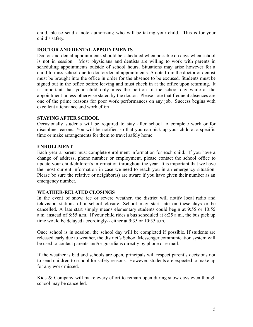child, please send a note authorizing who will be taking your child. This is for your child's safety.

# **DOCTOR AND DENTALAPPOINTMENTS**

Doctor and dental appointments should be scheduled when possible on days when school is not in session. Most physicians and dentists are willing to work with parents in scheduling appointments outside of school hours. Situations may arise however for a child to miss school due to doctor/dental appointments. A note from the doctor or dentist must be brought into the office in order for the absence to be excused. Students must be signed out in the office before leaving and must check in at the office upon returning. It is important that your child only miss the portion of the school day while at the appointment unless otherwise stated by the doctor. Please note that frequent absences are one of the prime reasons for poor work performances on any job. Success begins with excellent attendance and work effort.

# **STAYING AFTER SCHOOL**

Occasionally students will be required to stay after school to complete work or for discipline reasons. You will be notified so that you can pick up your child at a specific time or make arrangements for them to travel safely home.

# **ENROLLMENT**

Each year a parent must complete enrollment information for each child. If you have a change of address, phone number or employment, please contact the school office to update your child/children's information throughout the year. It is important that we have the most current information in case we need to reach you in an emergency situation. Please be sure the relative or neighbor(s) are aware if you have given their number as an emergency number.

# **WEATHER-RELATED CLOSINGS**

In the event of snow, ice or severe weather, the district will notify local radio and television stations of a school closure. School may start late on these days or be cancelled. A late start simply means elementary students could begin at 9:55 or 10:55 a.m. instead of 8:55 a.m. If your child rides a bus scheduled at 8:25 a.m., the bus pick up time would be delayed accordingly-- either at 9:35 or 10:35 a.m.

Once school is in session, the school day will be completed if possible. If students are released early due to weather, the district's School Messenger communication system will be used to contact parents and/or guardians directly by phone or e-mail.

If the weather is bad and schools are open, principals will respect parent's decisions not to send children to school for safety reasons. However, students are expected to make up for any work missed.

Kids  $\&$  Company will make every effort to remain open during snow days even though school may be cancelled.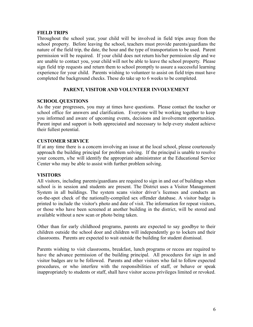# **FIELD TRIPS**

Throughout the school year, your child will be involved in field trips away from the school property. Before leaving the school, teachers must provide parents/guardians the nature of the field trip, the date, the hour and the type of transportation to be used. Parent permission will be required. If your child does not return his/her permission slip and we are unable to contact you, your child will not be able to leave the school property. Please sign field trip requests and return them to school promptly to assure a successful learning experience for your child. Parents wishing to volunteer to assist on field trips must have completed the background checks. These do take up to 6 weeks to be completed.

# **PARENT, VISITOR AND VOLUNTEER INVOLVEMENT**

# **SCHOOL QUESTIONS**

As the year progresses, you may at times have questions. Please contact the teacher or school office for answers and clarification. Everyone will be working together to keep you informed and aware of upcoming events, decisions and involvement opportunities. Parent input and support is both appreciated and necessary to help every student achieve their fullest potential.

# **CUSTOMER SERVICE**

If at any time there is a concern involving an issue at the local school, please courteously approach the building principal for problem solving. If the principal is unable to resolve your concern, s/he will identify the appropriate administrator at the Educational Service Center who may be able to assist with further problem solving.

#### **VISITORS**

All visitors, including parents/guardians are required to sign in and out of buildings when school is in session and students are present. The District uses a Visitor Management System in all buildings. The system scans visitor driver's licenses and conducts an on-the-spot check of the nationally-compiled sex offender database. A visitor badge is printed to include the visitor's photo and date of visit. The information for repeat visitors, or those who have been screened at another building in the district, will be stored and available without a new scan or photo being taken.

Other than for early childhood programs, parents are expected to say goodbye to their children outside the school door and children will independently go to lockers and their classrooms. Parents are expected to wait outside the building for student dismissal.

Parents wishing to visit classrooms, breakfast, lunch programs or recess are required to have the advance permission of the building principal. All procedures for sign in and visitor badges are to be followed. Parents and other visitors who fail to follow expected procedures, or who interfere with the responsibilities of staff, or behave or speak inappropriately to students or staff, shall have visitor access privileges limited or revoked.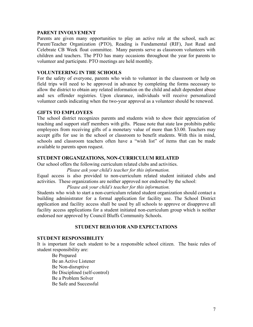#### **PARENT INVOLVEMENT**

Parents are given many opportunities to play an active role at the school, such as: Parent/Teacher Organization (PTO), Reading is Fundamental (RIF), Just Read and Celebrate CB Week float committee. Many parents serve as classroom volunteers with children and teachers. The PTO has many occasions throughout the year for parents to volunteer and participate. PTO meetings are held monthly.

#### **VOLUNTEERING IN THE SCHOOLS**

For the safety of everyone, parents who wish to volunteer in the classroom or help on field trips will need to be approved in advance by completing the forms necessary to allow the district to obtain any related information on the child and adult dependent abuse and sex offender registries. Upon clearance, individuals will receive personalized volunteer cards indicating when the two-year approval as a volunteer should be renewed.

#### **GIFTS TO EMPLOYEES**

The school district recognizes parents and students wish to show their appreciation of teaching and support staff members with gifts. Please note that state law prohibits public employees from receiving gifts of a monetary value of more than \$3.00. Teachers may accept gifts for use in the school or classroom to benefit students. With this in mind, schools and classroom teachers often have a "wish list" of items that can be made available to parents upon request.

#### **STUDENT ORGANIZATIONS, NON-CURRICULUM RELATED**

Our school offers the following curriculum related clubs and activities.

*Please ask your child's teacher for this information.*

Equal access is also provided to non-curriculum related student initiated clubs and activities. These organizations are neither approved nor endorsed by the school:

*Please ask your child's teacher for this information.*

Students who wish to start a non-curriculum related student organization should contact a building administrator for a formal application for facility use. The School District application and facility access shall be used by all schools to approve or disapprove all facility access applications for a student initiated non-curriculum group which is neither endorsed nor approved by Council Bluffs Community Schools.

#### **STUDENT BEHAVIOR AND EXPECTATIONS**

#### **STUDENT RESPONSIBILITY**

It is important for each student to be a responsible school citizen. The basic rules of student responsibility are:

Be Prepared Be an Active Listener Be Non-disruptive Be Disciplined (self-control) Be a Problem Solver Be Safe and Successful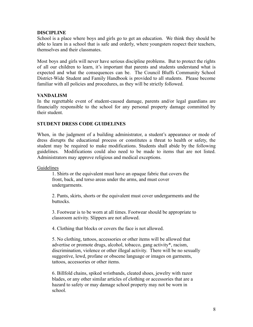# **DISCIPLINE**

School is a place where boys and girls go to get an education. We think they should be able to learn in a school that is safe and orderly, where youngsters respect their teachers, themselves and their classmates.

Most boys and girls will never have serious discipline problems. But to protect the rights of all our children to learn, it's important that parents and students understand what is expected and what the consequences can be. The Council Bluffs Community School District-Wide Student and Family Handbook is provided to all students. Please become familiar with all policies and procedures, as they will be strictly followed.

# **VANDALISM**

In the regrettable event of student-caused damage, parents and/or legal guardians are financially responsible to the school for any personal property damage committed by their student.

# **STUDENT DRESS CODE GUIDELINES**

When, in the judgment of a building administrator, a student's appearance or mode of dress disrupts the educational process or constitutes a threat to health or safety, the student may be required to make modifications. Students shall abide by the following guidelines. Modifications could also need to be made to items that are not listed. Administrators may approve religious and medical exceptions.

#### **Guidelines**

1. Shirts or the equivalent must have an opaque fabric that covers the front, back, and torso areas under the arms, and must cover undergarments.

2. Pants, skirts, shorts or the equivalent must cover undergarments and the buttocks.

3. Footwear is to be worn at all times. Footwear should be appropriate to classroom activity. Slippers are not allowed.

4. Clothing that blocks or covers the face is not allowed.

5. No clothing, tattoos, accessories or other items will be allowed that advertise or promote drugs, alcohol, tobacco, gang activity\*, racism, discrimination, violence or other illegal activity. There will be no sexually suggestive, lewd, profane or obscene language or images on garments, tattoos, accessories or other items.

6. Billfold chains, spiked wristbands, cleated shoes, jewelry with razor blades, or any other similar articles of clothing or accessories that are a hazard to safety or may damage school property may not be worn in school.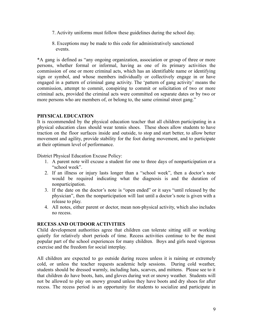- 7. Activity uniforms must follow these guidelines during the school day.
- 8. Exceptions may be made to this code for administratively sanctioned events.

\*A gang is defined as "any ongoing organization, association or group of three or more persons, whether formal or informal, having as one of its primary activities the commission of one or more criminal acts, which has an identifiable name or identifying sign or symbol, and whose members individually or collectively engage in or have engaged in a pattern of criminal gang activity. The 'pattern of gang activity' means the commission, attempt to commit, conspiring to commit or solicitation of two or more criminal acts, provided the criminal acts were committed on separate dates or by two or more persons who are members of, or belong to, the same criminal street gang."

# **PHYSICAL EDUCATION**

It is recommended by the physical education teacher that all children participating in a physical education class should wear tennis shoes. These shoes allow students to have traction on the floor surfaces inside and outside, to stop and start better, to allow better movement and agility, provide stability for the foot during movement, and to participate at their optimum level of performance.

District Physical Education Excuse Policy:

- 1. A parent note will excuse a student for one to three days of nonparticipation or a "school week".
- 2. If an illness or injury lasts longer than a "school week", then a doctor's note would be required indicating what the diagnosis is and the duration of nonparticipation.
- 3. If the date on the doctor's note is "open ended" or it says "until released by the physician", then the nonparticipation will last until a doctor's note is given with a release to play.
- 4. All notes, either parent or doctor, mean non-physical activity, which also includes no recess.

# **RECESS AND OUTDOOR ACTIVITIES**

Child development authorities agree that children can tolerate sitting still or working quietly for relatively short periods of time. Recess activities continue to be the most popular part of the school experiences for many children. Boys and girls need vigorous exercise and the freedom for social interplay.

All children are expected to go outside during recess unless it is raining or extremely cold, or unless the teacher requests academic help sessions. During cold weather, students should be dressed warmly, including hats, scarves, and mittens. Please see to it that children do have boots, hats, and gloves during wet or snowy weather. Students will not be allowed to play on snowy ground unless they have boots and dry shoes for after recess. The recess period is an opportunity for students to socialize and participate in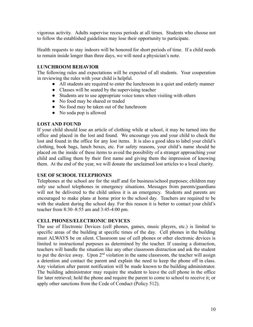vigorous activity. Adults supervise recess periods at all times. Students who choose not to follow the established guidelines may lose their opportunity to participate.

Health requests to stay indoors will be honored for short periods of time. If a child needs to remain inside longer than three days, we will need a physician's note.

# **LUNCHROOM BEHAVIOR**

The following rules and expectations will be expected of all students. Your cooperation in reviewing the rules with your child is helpful.

- All students are required to enter the lunchroom in a quiet and orderly manner
- Classes will be seated by the supervising teacher
- Students are to use appropriate voice tones when visiting with others
- No food may be shared or traded
- No food may be taken out of the lunchroom
- No soda pop is allowed

#### **LOST AND FOUND**

If your child should lose an article of clothing while at school, it may be turned into the office and placed in the lost and found. We encourage you and your child to check the lost and found in the office for any lost items. It is also a good idea to label your child's clothing, book bags, lunch boxes, etc. For safety reasons, your child's name should be placed on the inside of these items to avoid the possibility of a stranger approaching your child and calling them by their first name and giving them the impression of knowing them. At the end of the year, we will donate the unclaimed lost articles to a local charity.

# **USE OF SCHOOL TELEPHONES**

Telephones at the school are for the staff and for business/school purposes; children may only use school telephones in emergency situations. Messages from parents/guardians will not be delivered to the child unless it is an emergency. Students and parents are encouraged to make plans at home prior to the school day. Teachers are required to be with the student during the school day. For this reason it is better to contact your child's teacher from 8:30–8:55 am and 3:45-4:00 pm.

#### **CELL PHONES/ELECTRONIC DEVICES**

The use of Electronic Devices (cell phones, games, music players, etc.) is limited to specific areas of the building at specific times of the day. Cell phones in the building must ALWAYS be on silent. Classroom use of cell phones or other electronic devices is limited to instructional purposes as determined by the teacher. If causing a distraction, teachers will handle the situation like any other classroom distraction and ask the student to put the device away. Upon  $2<sup>nd</sup>$  violation in the same classroom, the teacher will assign a detention and contact the parent and explain the need to keep the phone off in class. Any violation after parent notification will be made known to the building administrator. The building administrator may require the student to leave the cell phone in the office for later retrieval; hold the phone and require the parent to come to school to receive it; or apply other sanctions from the Code of Conduct (Policy 512).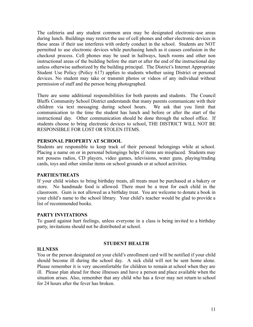The cafeteria and any student common area may be designated electronic-use areas during lunch. Buildings may restrict the use of cell phones and other electronic devices in these areas if their use interferes with orderly conduct in the school. Students are NOT permitted to use electronic devices while purchasing lunch as it causes confusion in the checkout process. Cell phones may be used in hallways, lunch rooms and other non instructional areas of the building before the start or after the end of the instructional day unless otherwise authorized by the building principal. The District's Internet Appropriate Student Use Policy (Policy 617) applies to students whether using District or personal devices. No student may take or transmit photos or videos of any individual without permission of staff and the person being photographed.

There are some additional responsibilities for both parents and students. The Council Bluffs Community School District understands that many parents communicate with their children via text messaging during school hours. We ask that you limit that communication to the time the student has lunch and before or after the start of the instructional day. Other communication should be done through the school office. If students choose to bring electronic devices to school, THE DISTRICT WILL NOT BE RESPONSIBLE FOR LOST OR STOLEN ITEMS.

#### **PERSONAL PROPERTY AT SCHOOL**

Students are responsible to keep track of their personal belongings while at school. Placing a name on or in personal belongings helps if items are misplaced. Students may not possess radios, CD players, video games, televisions, water guns, playing/trading cards, toys and other similar items on school grounds or at school activities.

#### **PARTIES/TREATS**

If your child wishes to bring birthday treats, all treats must be purchased at a bakery or store. No handmade food is allowed. There must be a treat for each child in the classroom. Gum is not allowed as a birthday treat. You are welcome to donate a book in your child's name to the school library. Your child's teacher would be glad to provide a list of recommended books.

#### **PARTY INVITATIONS**

To guard against hurt feelings, unless everyone in a class is being invited to a birthday party, invitations should not be distributed at school.

#### **STUDENT HEALTH**

#### **ILLNESS**

You or the person designated on your child's enrollment card will be notified if your child should become ill during the school day. A sick child will not be sent home alone. Please remember it is very uncomfortable for children to remain at school when they are ill. Please plan ahead for these illnesses and have a person and place available when the situation arises. Also, remember that any child who has a fever may not return to school for 24 hours after the fever has broken.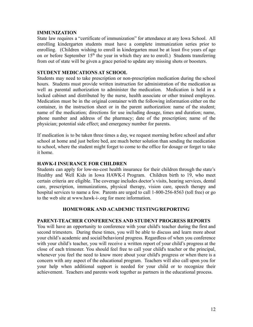#### **IMMUNIZATION**

State law requires a "certificate of immunization" for attendance at any Iowa School. All enrolling kindergarten students must have a complete immunization series prior to enrolling. (Children wishing to enroll in kindergarten must be at least five years of age on or before September 15<sup>th</sup> the year in which they are to enroll.) Students transferring from out of state will be given a grace period to update any missing shots or boosters.

# **STUDENT MEDICATIONS AT SCHOOL**

Students may need to take prescription or non-prescription medication during the school hours. Students must provide written instruction for administration of the medication as well as parental authorization to administer the medication. Medication is held in a locked cabinet and distributed by the nurse, health associate or other trained employee. Medication must be in the original container with the following information either on the container, in the instruction sheet or in the parent authorization: name of the student; name of the medication; directions for use including dosage, times and duration; name, phone number and address of the pharmacy; date of the prescription; name of the physician; potential side effect; and emergency number for parents.

If medication is to be taken three times a day, we request morning before school and after school at home and just before bed, are much better solution than sending the medication to school, where the student might forget to come to the office for dosage or forget to take it home.

#### **HAWK-I INSURANCE FOR CHILDREN**

Students can apply for low-no-cost health insurance for their children through the state's Healthy and Well Kids in Iowa HAWK-I Program. Children birth to 19, who meet certain criteria are eligible. The coverage includes doctor's visits, hearing services, dental care, prescription, immunizations, physical therapy, vision care, speech therapy and hospital services to name a few. Parents are urged to call 1-800-256-8563 (toll free) or go to the web site at www.hawk-i-.org for more information.

# **HOMEWORK AND ACADEMIC TESTING/REPORTING**

#### **PARENT-TEACHER CONFERENCES AND STUDENT PROGRESS REPORTS**

You will have an opportunity to conference with your child's teacher during the first and second trimesters. During these times, you will be able to discuss and learn more about your child's academic and social/behavioral progress. Regardless of when you conference with your child's teacher, you will receive a written report of your child's progress at the close of each trimester. You should feel free to call your child's teacher or the principal, whenever you feel the need to know more about your child's progress or when there is a concern with any aspect of the educational program. Teachers will also call upon you for your help when additional support is needed for your child or to recognize their achievement. Teachers and parents work together as partners in the educational process.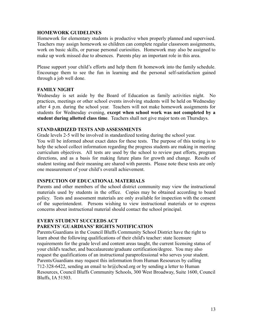### **HOMEWORK GUIDELINES**

Homework for elementary students is productive when properly planned and supervised. Teachers may assign homework so children can complete regular classroom assignments, work on basic skills, or pursue personal curiosities. Homework may also be assigned to make up work missed due to absences. Parents play an important role in this area.

Please support your child's efforts and help them fit homework into the family schedule. Encourage them to see the fun in learning and the personal self-satisfaction gained through a job well done.

# **FAMILY NIGHT**

Wednesday is set aside by the Board of Education as family activities night. No practices, meetings or other school events involving students will be held on Wednesday after 4 p.m. during the school year. Teachers will not make homework assignments for students for Wednesday evening, **except when school work was not completed by a student during allotted class time**. Teachers shall not give major tests on Thursdays.

# **STANDARDIZED TESTS AND ASSESSMENTS**

Grade levels 2-5 will be involved in standardized testing during the school year.

You will be informed about exact dates for these tests. The purpose of this testing is to help the school collect information regarding the progress students are making in meeting curriculum objectives. All tests are used by the school to review past efforts, program directions, and as a basis for making future plans for growth and change. Results of student testing and their meaning are shared with parents. Please note these tests are only one measurement of your child's overall achievement.

#### **INSPECTION OF EDUCATIONAL MATERIALS**

Parents and other members of the school district community may view the instructional materials used by students in the office. Copies may be obtained according to board policy. Tests and assessment materials are only available for inspection with the consent of the superintendent. Persons wishing to view instructional materials or to express concerns about instructional material should contact the school principal.

# **EVERY STUDENT SUCCEEDS ACT PARENTS**'/**GUARDIANS' RIGHTS NOTIFICATION**

Parents/Guardians in the Council Bluffs Community School District have the right to learn about the following qualifications of their child's teacher: state licensure requirements for the grade level and content areas taught, the current licensing status of your child's teacher, and baccalaureate/graduate certification/degree. You may also request the qualifications of an instructional paraprofessional who serves your student. Parents/Guardians may request this information from Human Resources by calling 712-328-6422, sending an email to [hr@cbcsd.org](mailto:hr@cbcsd.org) or by sending a letter to Human Resources, Council Bluffs Community Schools, 300 West Broadway, Suite 1600, Council Bluffs, IA 51503.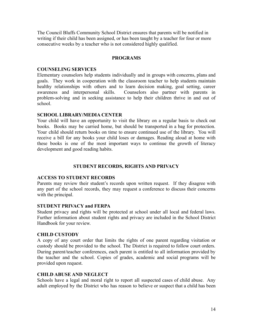The Council Bluffs Community School District ensures that parents will be notified in writing if their child has been assigned, or has been taught by a teacher for four or more consecutive weeks by a teacher who is not considered highly qualified.

#### **PROGRAMS**

#### **COUNSELING SERVICES**

Elementary counselors help students individually and in groups with concerns, plans and goals. They work in cooperation with the classroom teacher to help students maintain healthy relationships with others and to learn decision making, goal setting, career awareness and interpersonal skills. Counselors also partner with parents in problem-solving and in seeking assistance to help their children thrive in and out of school.

#### **SCHOOL LIBRARY/MEDIA CENTER**

Your child will have an opportunity to visit the library on a regular basis to check out books. Books may be carried home, but should be transported in a bag for protection. Your child should return books on time to ensure continued use of the library. You will receive a bill for any books your child loses or damages. Reading aloud at home with these books is one of the most important ways to continue the growth of literacy development and good reading habits.

#### **STUDENT RECORDS, RIGHTS AND PRIVACY**

#### **ACCESS TO STUDENT RECORDS**

Parents may review their student's records upon written request. If they disagree with any part of the school records, they may request a conference to discuss their concerns with the principal.

#### **STUDENT PRIVACY and FERPA**

Student privacy and rights will be protected at school under all local and federal laws. Further information about student rights and privacy are included in the School District Handbook for your review.

#### **CHILD CUSTODY**

A copy of any court order that limits the rights of one parent regarding visitation or custody should be provided to the school. The District is required to follow court orders. During parent/teacher conferences, each parent is entitled to all information provided by the teacher and the school. Copies of grades, academic and social programs will be provided upon request.

#### **CHILD ABUSE AND NEGLECT**

Schools have a legal and moral right to report all suspected cases of child abuse. Any adult employed by the District who has reason to believe or suspect that a child has been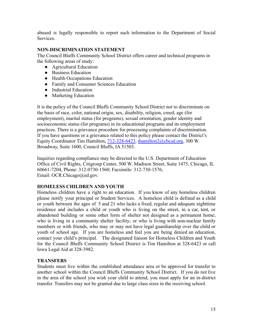abused is legally responsible to report such information to the Department of Social **Services** 

# **NON-DISCRIMINATION STATEMENT**

The Council Bluffs Community School District offers career and technical programs in the following areas of study:

- Agricultural Education
- Business Education
- Health Occupations Education
- Family and Consumer Sciences Education
- Industrial Education
- Marketing Education

It is the policy of the Council Bluffs Community School District not to discriminate on the basis of race, color, national origin, sex, disability, religion, creed, age (for employment), marital status (for programs), sexual orientation, gender identity and socioeconomic status (for programs) in its educational programs and its employment practices. There is a grievance procedure for processing complaints of discrimination. If you have questions or a grievance related to this policy please contact the District's Equity Coordinator Tim Hamilton, 712-328-6423, [thamilton2@cbcsd.org](mailto:thamilton2@cbcsd.org), 300 W. Broadway, Suite 1600, Council Bluffs, IA 51503.

Inquiries regarding compliance may be directed to the U.S. Department of Education Office of Civil Rights, Citigroup Center, 500 W. Madison Street, Suite 1475, Chicago, IL 60661-7204, Phone: 312-0730-1560; Facsimile: 312-730-1576; Email: OCR.Chicago@ed.gov.

# **HOMELESS CHILDREN AND YOUTH**

Homeless children have a right to an education. If you know of any homeless children please notify your principal or Student Services. A homeless child is defined as a child or youth between the ages of 5 and 21 who lacks a fixed, regular and adequate nighttime residence and includes a child or youth who is living on the street, in a car, tent, or abandoned building or some other form of shelter not designed as a permanent home; who is living in a community shelter facility; or who is living with non-nuclear family members or with friends, who may or may not have legal guardianship over the child or youth of school age. If you are homeless and feel you are being denied an education, contact your child's principal. The designated liaison for Homeless Children and Youth for the Council Bluffs Community School District is Tim Hamilton at 328-6423 or call Iowa Legal Aid at 328-3982.

# **TRANSFERS**

Students must live within the established attendance area or be approved for transfer to another school within the Council Bluffs Community School District. If you do not live in the area of the school you wish your child to attend, you must apply for an in-district transfer. Transfers may not be granted due to large class sizes in the receiving school.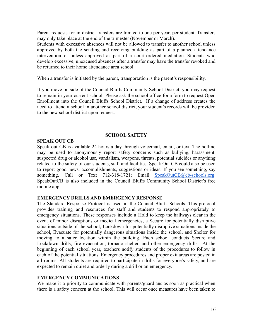Parent requests for in-district transfers are limited to one per year, per student. Transfers may only take place at the end of the trimester (November or March).

Students with excessive absences will not be allowed to transfer to another school unless approved by both the sending and receiving building as part of a planned attendance intervention or unless approved as part of a court-ordered mediation. Students who develop excessive, unexcused absences after a transfer may have the transfer revoked and be returned to their home attendance area school.

When a transfer is initiated by the parent, transportation is the parent's responsibility.

If you move outside of the Council Bluffs Community School District, you may request to remain in your current school. Please ask the school office for a form to request Open Enrollment into the Council Bluffs School District. If a change of address creates the need to attend a school in another school district, your student's records will be provided to the new school district upon request.

# **SCHOOL SAFETY**

# **SPEAK OUT CB**

Speak out CB is available 24 hours a day through voicemail, email, or text. The hotline may be used to anonymously report safety concerns such as bullying, harassment, suspected drug or alcohol use, vandalism, weapons, threats, potential suicides or anything related to the safety of our students, staff and facilities. Speak Out CB could also be used to report good news, accomplishments, suggestions or ideas. If you see something, say something. Call or Text 712-318-1721; Email [SpeakOutCB@cb-schools.org.](mailto:SpeakOutCB@cb-schools.org) SpeakOutCB is also included in the Council Bluffs Community School District's free mobile app.

#### **EMERGENCY DRILLS AND EMERGENCY RESPONSE**

The Standard Response Protocol is used in the Council Bluffs Schools. This protocol provides training and resources for staff and students to respond appropriately to emergency situations. These responses include a Hold to keep the hallways clear in the event of minor disruptions or medical emergencies, a Secure for potentially disruptive situations outside of the school, Lockdown for potentially disruptive situations inside the school, Evacuate for potentially dangerous situations inside the school, and Shelter for moving to a safer location within the building. Each school conducts Secure and Lockdown drills, fire evacuation, tornado shelter, and other emergency drills. At the beginning of each school year, teachers notify students of the procedures to follow in each of the potential situations. Emergency procedures and proper exit areas are posted in all rooms. All students are required to participate in drills for everyone's safety, and are expected to remain quiet and orderly during a drill or an emergency.

# **EMERGENCY COMMUNICATIONS**

We make it a priority to communicate with parents/guardians as soon as practical when there is a safety concern at the school. This will occur once measures have been taken to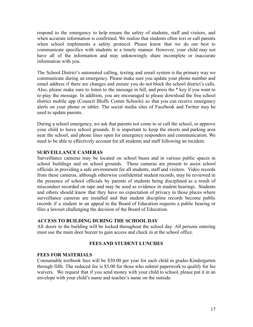respond to the emergency to help ensure the safety of students, staff and visitors, and when accurate information is confirmed. We realize that students often text or call parents when school implements a safety protocol. Please know that we do our best to communicate specifics with students in a timely manner. However, your child may not have all of the information and may unknowingly share incomplete or inaccurate information with you.

The School District's automated calling, texting and email system is the primary way we communicate during an emergency. Please make sure you update your phone number and email address if there are changes and ensure you do not block the school district's calls. Also, please make sure to listen to the message in full, and press the \* key if you want to re-play the message. In addition, you are encouraged to please download the free school district mobile app (Council Bluffs Comm Schools) so that you can receive emergency alerts on your phone or tablet. The social media sites of Facebook and Twitter may be used to update parents.

During a school emergency, we ask that parents not come to or call the school, or approve your child to leave school grounds. It is important to keep the streets and parking area near the school, and phone lines open for emergency responders and communication. We need to be able to effectively account for all students and staff following an incident.

# **SURVEILLANCE CAMERAS**

Surveillance cameras may be located on school buses and in various public spaces in school buildings and on school grounds. These cameras are present to assist school officials in providing a safe environment for all students, staff and visitors. Video records from these cameras, although otherwise confidential student records, may be reviewed in the presence of school officials by parents of students being disciplined as a result of misconduct recorded on tape and may be used as evidence in student hearings. Students and others should know that they have no expectation of privacy in those places where surveillance cameras are installed and that student discipline records become public records if a student in an appeal to the Board of Education requests a public hearing or files a lawsuit challenging the decision of the Board of Education.

#### **ACCESS TO BUILDING DURING THE SCHOOL DAY**

All doors to the building will be locked throughout the school day. All persons entering must use the main door buzzer to gain access and check in at the school office.

#### **FEES AND STUDENT LUNCHES**

# **FEES FOR MATERIALS**

Consumable textbook fees will be \$30.00 per year for each child in grades Kindergarten through fifth. The reduced fee is \$5.00 for those who submit paperwork to qualify for fee waivers. We request that if you send money with your child to school, please put it in an envelope with your child's name and teacher's name on the outside.